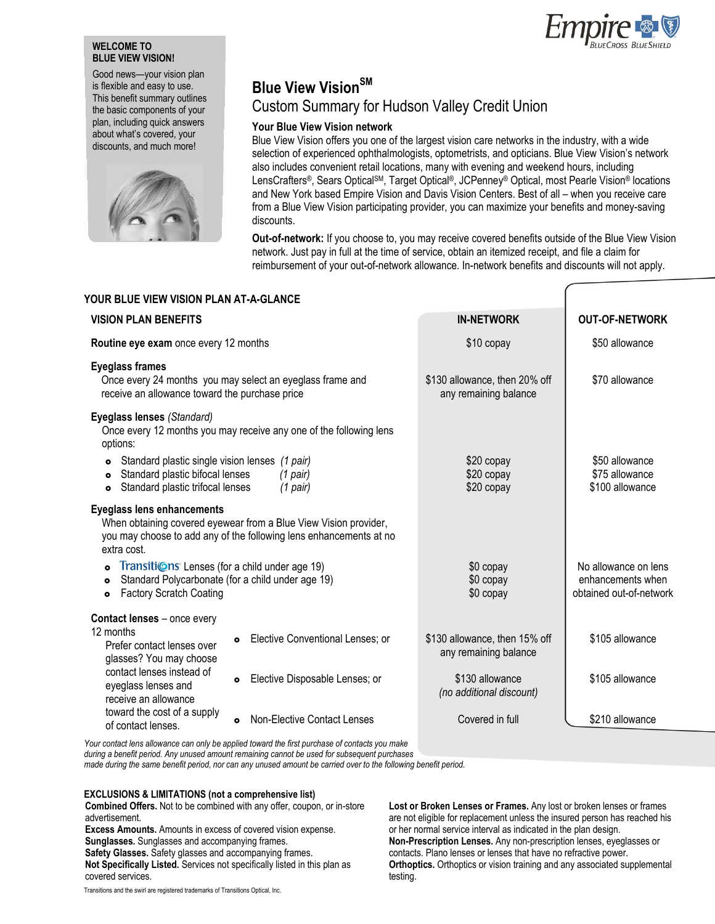## **WELCOME TO BLUE VIEW VISION!**

Good news—your vision plan is flexible and easy to use. This benefit summary outlines the basic components of your plan, including quick answers about what's covered, your discounts, and much more!



**YOUR BLUE VIEW VISION PLAN AT-A-GLANCE** 

# **Blue View VisionSM**

# Custom Summary for Hudson Valley Credit Union

# **Your Blue View Vision network**

Blue View Vision offers you one of the largest vision care networks in the industry, with a wide selection of experienced ophthalmologists, optometrists, and opticians. Blue View Vision's network also includes convenient retail locations, many with evening and weekend hours, including LensCrafters®, Sears OpticalSM, Target Optical®, JCPenney® Optical, most Pearle Vision® locations and New York based Empire Vision and Davis Vision Centers. Best of all – when you receive care from a Blue View Vision participating provider, you can maximize your benefits and money-saving discounts.

**Out-of-network:** If you choose to, you may receive covered benefits outside of the Blue View Vision network. Just pay in full at the time of service, obtain an itemized receipt, and file a claim for reimbursement of your out-of-network allowance. In-network benefits and discounts will not apply.

| I UUR DLUE VIEW VISIUN FLAN AT-A-ULANCE                                                                                                                                                                                            |                                                                                                                                        |                                                        |                                                                      |  |
|------------------------------------------------------------------------------------------------------------------------------------------------------------------------------------------------------------------------------------|----------------------------------------------------------------------------------------------------------------------------------------|--------------------------------------------------------|----------------------------------------------------------------------|--|
| <b>VISION PLAN BENEFITS</b>                                                                                                                                                                                                        |                                                                                                                                        | <b>IN-NETWORK</b>                                      | <b>OUT-OF-NETWORK</b>                                                |  |
| Routine eye exam once every 12 months                                                                                                                                                                                              |                                                                                                                                        | \$10 copay                                             | \$50 allowance                                                       |  |
| <b>Eyeglass frames</b><br>Once every 24 months you may select an eyeglass frame and<br>receive an allowance toward the purchase price                                                                                              |                                                                                                                                        | \$130 allowance, then 20% off<br>any remaining balance | \$70 allowance                                                       |  |
| Eyeglass lenses (Standard)<br>options:                                                                                                                                                                                             | Once every 12 months you may receive any one of the following lens                                                                     |                                                        |                                                                      |  |
| Standard plastic single vision lenses (1 pair)<br>$\bullet$<br>Standard plastic bifocal lenses<br>(1 pair)<br>$\bullet$<br>Standard plastic trifocal lenses<br>(1 pair)<br>$\bullet$                                               |                                                                                                                                        | \$20 copay<br>\$20 copay<br>\$20 copay                 | \$50 allowance<br>\$75 allowance<br>\$100 allowance                  |  |
| <b>Eyeglass lens enhancements</b><br>extra cost.                                                                                                                                                                                   | When obtaining covered eyewear from a Blue View Vision provider,<br>you may choose to add any of the following lens enhancements at no |                                                        |                                                                      |  |
| Transitions' Lenses (for a child under age 19)<br>Standard Polycarbonate (for a child under age 19)<br>$\bullet$<br><b>Factory Scratch Coating</b><br>$\bullet$                                                                    |                                                                                                                                        | \$0 copay<br>\$0 copay<br>\$0 copay                    | No allowance on lens<br>enhancements when<br>obtained out-of-network |  |
| Contact lenses - once every<br>12 months<br>Prefer contact lenses over<br>glasses? You may choose<br>contact lenses instead of<br>eyeglass lenses and<br>receive an allowance<br>toward the cost of a supply<br>of contact lenses. | Elective Conventional Lenses; or<br>۰                                                                                                  | \$130 allowance, then 15% off<br>any remaining balance | \$105 allowance                                                      |  |
|                                                                                                                                                                                                                                    | Elective Disposable Lenses; or<br>$\bullet$                                                                                            | \$130 allowance<br>(no additional discount)            | \$105 allowance                                                      |  |
|                                                                                                                                                                                                                                    | <b>Non-Elective Contact Lenses</b><br>$\bullet$                                                                                        | Covered in full                                        | \$210 allowance                                                      |  |
|                                                                                                                                                                                                                                    |                                                                                                                                        |                                                        |                                                                      |  |

*Your contact lens allowance can only be applied toward the first purchase of contacts you make during a benefit period. Any unused amount remaining cannot be used for subsequent purchases* 

*made during the same benefit period, nor can any unused amount be carried over to the following benefit period.*

### **EXCLUSIONS & LIMITATIONS (not a comprehensive list)**

**Combined Offers.** Not to be combined with any offer, coupon, or in-store advertisement.

**Excess Amounts.** Amounts in excess of covered vision expense.

**Sunglasses.** Sunglasses and accompanying frames.

**Safety Glasses.** Safety glasses and accompanying frames.

**Not Specifically Listed.** Services not specifically listed in this plan as covered services.

**Lost or Broken Lenses or Frames.** Any lost or broken lenses or frames are not eligible for replacement unless the insured person has reached his or her normal service interval as indicated in the plan design. **Non-Prescription Lenses.** Any non-prescription lenses, eyeglasses or contacts. Plano lenses or lenses that have no refractive power. **Orthoptics.** Orthoptics or vision training and any associated supplemental testing.



Transitions and the swirl are registered trademarks of Transitions Optical, Inc.